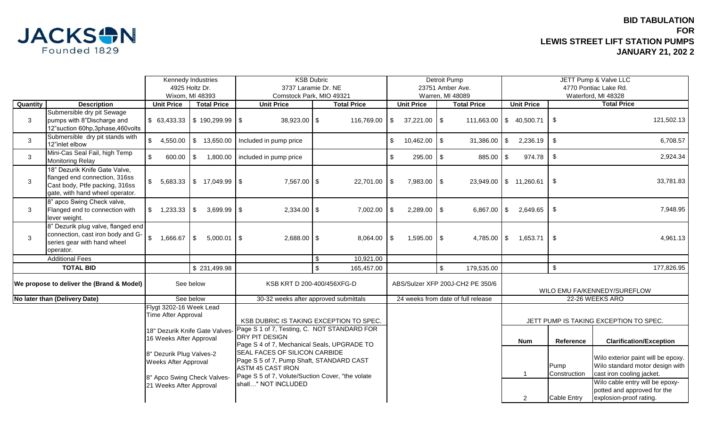

|                                           |                                                                                                                                     |                                                                                                                                                                                                                                  | <b>KSB Dubric</b><br><b>Kennedy Industries</b> |                                                                                                                                                                                                                                                                                                                      |                                       | Detroit Pump                     |                                    |                   |                                        | JETT Pump & Valve LLC |                      |                                                                                                    |                                                                                           |                    |
|-------------------------------------------|-------------------------------------------------------------------------------------------------------------------------------------|----------------------------------------------------------------------------------------------------------------------------------------------------------------------------------------------------------------------------------|------------------------------------------------|----------------------------------------------------------------------------------------------------------------------------------------------------------------------------------------------------------------------------------------------------------------------------------------------------------------------|---------------------------------------|----------------------------------|------------------------------------|-------------------|----------------------------------------|-----------------------|----------------------|----------------------------------------------------------------------------------------------------|-------------------------------------------------------------------------------------------|--------------------|
|                                           |                                                                                                                                     |                                                                                                                                                                                                                                  | 4925 Holtz Dr.                                 | 3737 Laramie Dr. NE                                                                                                                                                                                                                                                                                                  |                                       | 23751 Amber Ave.                 |                                    |                   | 4770 Pontiac Lake Rd.                  |                       |                      |                                                                                                    |                                                                                           |                    |
|                                           |                                                                                                                                     |                                                                                                                                                                                                                                  | Wixom, MI 48393                                | Comstock Park, MIO 49321                                                                                                                                                                                                                                                                                             |                                       | Warren, MI 48089                 |                                    |                   | Waterford, MI 48328                    |                       |                      |                                                                                                    |                                                                                           |                    |
| Quantity                                  | <b>Description</b>                                                                                                                  | <b>Unit Price</b>                                                                                                                                                                                                                | <b>Total Price</b>                             | <b>Unit Price</b>                                                                                                                                                                                                                                                                                                    |                                       | <b>Total Price</b>               |                                    | <b>Unit Price</b> |                                        | <b>Total Price</b>    |                      | <b>Unit Price</b>                                                                                  |                                                                                           | <b>Total Price</b> |
| 3                                         | Submersible dry pit Sewage<br>pumps with 8"Discharge and<br>12"suction 60hp,3phase,460volts                                         | \$63,433.33                                                                                                                                                                                                                      | $\frac{1}{2}$ 190,299.99 \$                    | $38,923.00$ \$                                                                                                                                                                                                                                                                                                       |                                       | 116,769.00                       | \$                                 | $37,221.00$ \$    |                                        | 111,663.00            |                      | \$40,500.71                                                                                        | \$                                                                                        | 121,502.13         |
| 3                                         | Submersible dry pit stands with<br>12"inlet elbow                                                                                   | $\mathsf{\$}$<br>4,550.00                                                                                                                                                                                                        | \$ 13,650.00                                   | Included in pump price                                                                                                                                                                                                                                                                                               |                                       |                                  | \$                                 | $10,462.00$ \\$   |                                        | 31,386.00             | \$                   | 2,236.19                                                                                           | $\boldsymbol{\mathsf{S}}$                                                                 | 6,708.57           |
| 3                                         | Mini-Cas Seal Fail, high Temp<br><b>Monitoring Relay</b>                                                                            | \$<br>600.00                                                                                                                                                                                                                     | $\$\$<br>1,800.00                              | included in pump price                                                                                                                                                                                                                                                                                               |                                       |                                  | \$                                 | $295.00$ \$       |                                        | 885.00                | \$                   | 974.78                                                                                             | $\boldsymbol{\mathsf{S}}$                                                                 | 2,924.34           |
| 3                                         | 18" Dezurik Knife Gate Valve,<br>flanged end connection, 316ss<br>Cast body, Ptfe packing, 316ss<br>gate, with hand wheel operator. | \$                                                                                                                                                                                                                               | $5,683.33$ \$ 17,049.99 \$                     | 7,567.00 \$                                                                                                                                                                                                                                                                                                          |                                       | $22,701.00$ \\$                  |                                    | 7,983.00 \$       |                                        | 23,949.00             |                      | \$11,260.61                                                                                        | l \$                                                                                      | 33,781.83          |
| 3                                         | 8" apco Swing Check valve,<br>Flanged end to connection with<br>lever weight.                                                       | $\mathcal{S}$<br>1,233.33                                                                                                                                                                                                        | \$<br>$3,699.99$ \$                            | 2,334.00                                                                                                                                                                                                                                                                                                             | $\frac{1}{2}$                         | 7,002.00                         | -\$                                | 2,289.00          | \$                                     | 6,867.00              | \$                   | 2,649.65                                                                                           | \$                                                                                        | 7,948.95           |
| $\mathbf{3}$                              | 8" Dezurik plug valve, flanged end<br>connection, cast iron body and G-<br>series gear with hand wheel<br>operator.                 | \$<br>$1,666.67$ \$                                                                                                                                                                                                              | $5,000.01$ \\$                                 | $2,688.00$ \$                                                                                                                                                                                                                                                                                                        |                                       | $8,064.00$ \\$                   |                                    | $1,595.00$ \$     |                                        | 4,785.00              | \$                   | 1,653.71                                                                                           | l \$                                                                                      | 4,961.13           |
|                                           | <b>Additional Fees</b>                                                                                                              |                                                                                                                                                                                                                                  |                                                |                                                                                                                                                                                                                                                                                                                      | \$                                    | 10,921.00                        |                                    |                   |                                        |                       |                      |                                                                                                    |                                                                                           |                    |
|                                           | <b>TOTAL BID</b>                                                                                                                    |                                                                                                                                                                                                                                  | \$231,499.98                                   |                                                                                                                                                                                                                                                                                                                      | \$                                    | 165,457.00                       |                                    |                   | $\sqrt[6]{\frac{1}{2}}$                | 179,535.00            |                      |                                                                                                    | $$\mathbb{S}$$                                                                            | 177,826.95         |
| We propose to deliver the (Brand & Model) |                                                                                                                                     | See below                                                                                                                                                                                                                        |                                                | KSB KRT D 200-400/456XFG-D                                                                                                                                                                                                                                                                                           |                                       | ABS/Sulzer XFP 200J-CH2 PE 350/6 |                                    |                   | WILO EMU FA/KENNEDY/SUREFLOW           |                       |                      |                                                                                                    |                                                                                           |                    |
| No later than (Delivery Date)             |                                                                                                                                     | See below                                                                                                                                                                                                                        |                                                |                                                                                                                                                                                                                                                                                                                      | 30-32 weeks after approved submittals |                                  | 24 weeks from date of full release |                   |                                        | 22-26 WEEKS ARO       |                      |                                                                                                    |                                                                                           |                    |
|                                           |                                                                                                                                     | Flygt 3202-16 Week Lead<br>Time After Approval<br>18" Dezurik Knife Gate Valves-<br>16 Weeks After Approval<br>8" Dezurik Plug Valves-2<br><b>Weeks After Approval</b><br>8" Apco Swing Check Valves-<br>21 Weeks After Approval |                                                | KSB DUBRIC IS TAKING EXCEPTION TO SPEC.<br>Page S 1 of 7, Testing, C. NOT STANDARD FOR<br>DRY PIT DESIGN<br>Page S 4 of 7, Mechanical Seals, UPGRADE TO<br>SEAL FACES OF SILICON CARBIDE<br>Page S 5 of 7, Pump Shaft, STANDARD CAST<br><b>ASTM 45 CAST IRON</b><br>Page S 5 of 7, Volute/Suction Cover, "the volate |                                       |                                  |                                    |                   | JETT PUMP IS TAKING EXCEPTION TO SPEC. |                       |                      |                                                                                                    |                                                                                           |                    |
|                                           |                                                                                                                                     |                                                                                                                                                                                                                                  |                                                |                                                                                                                                                                                                                                                                                                                      |                                       |                                  |                                    |                   |                                        | <b>Num</b>            | Reference            | <b>Clarification/Exception</b>                                                                     |                                                                                           |                    |
|                                           |                                                                                                                                     |                                                                                                                                                                                                                                  |                                                |                                                                                                                                                                                                                                                                                                                      |                                       |                                  |                                    |                   |                                        | $\overline{1}$        | Pump<br>Construction | Wilo exterior paint will be epoxy.<br>Wilo standard motor design with<br>cast iron cooling jacket. |                                                                                           |                    |
|                                           |                                                                                                                                     |                                                                                                                                                                                                                                  |                                                | shall" NOT INCLUDED                                                                                                                                                                                                                                                                                                  |                                       |                                  |                                    |                   |                                        |                       | $\overline{2}$       | Cable Entry                                                                                        | Wilo cable entry will be epoxy-<br>potted and approved for the<br>explosion-proof rating. |                    |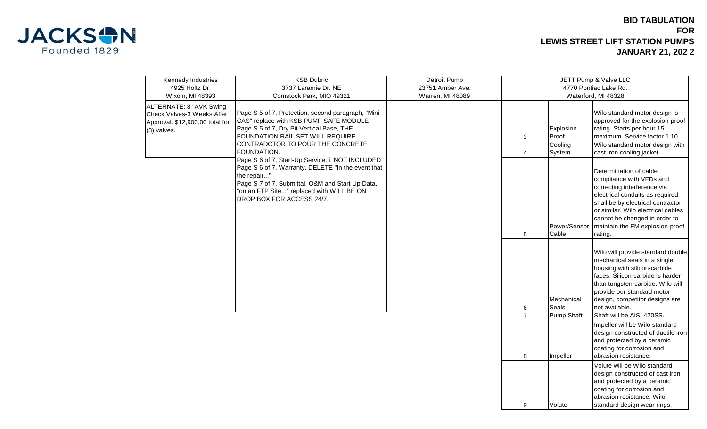

## **BID TABULATION FOR LEWIS STREET LIFT STATION PUMPS JANUARY 21, 202 2**

9 Volute

standard design wear rings.

| Kennedy Industries                                    | <b>KSB Dubric</b>                                                                                      | Detroit Pump     |                                                |                   |                                                                      |  |  |
|-------------------------------------------------------|--------------------------------------------------------------------------------------------------------|------------------|------------------------------------------------|-------------------|----------------------------------------------------------------------|--|--|
| 4925 Holtz Dr.                                        | 3737 Laramie Dr. NE                                                                                    | 23751 Amber Ave. | JETT Pump & Valve LLC<br>4770 Pontiac Lake Rd. |                   |                                                                      |  |  |
| Wixom, MI 48393                                       | Comstock Park, MIO 49321                                                                               | Warren, MI 48089 | Waterford, MI 48328                            |                   |                                                                      |  |  |
|                                                       |                                                                                                        |                  |                                                |                   |                                                                      |  |  |
| ALTERNATE: 8" AVK Swing<br>Check Valves-3 Weeks Afler | Page S 5 of 7, Protection, second paragraph, "Mini                                                     |                  |                                                |                   | Wilo standard motor design is                                        |  |  |
| Approval. \$12,900.00 total for                       | CAS" replace with KSB PUMP SAFE MODULE                                                                 |                  |                                                |                   | approved for the explosion-proof                                     |  |  |
| (3) valves.                                           | Page S 5 of 7, Dry Pit Vertical Base, THE                                                              |                  |                                                | Explosion         | rating. Starts per hour 15                                           |  |  |
|                                                       | FOUNDATION RAIL SET WILL REQUIRE                                                                       |                  | 3                                              | Proof             | maximum. Service factor 1.10.                                        |  |  |
|                                                       | CONTRADCTOR TO POUR THE CONCRETE                                                                       |                  |                                                | Cooling           | Wilo standard motor design with                                      |  |  |
|                                                       | FOUNDATION.                                                                                            |                  | 4                                              | System            | cast iron cooling jacket.                                            |  |  |
|                                                       | Page S 6 of 7, Start-Up Service, i, NOT INCLUDED<br>Page S 6 of 7, Warranty, DELETE "In the event that |                  |                                                |                   |                                                                      |  |  |
|                                                       | the repair"                                                                                            |                  |                                                |                   | Determination of cable                                               |  |  |
|                                                       | Page S 7 of 7, Submittal, O&M and Start Up Data,                                                       |                  |                                                |                   | compliance with VFDs and                                             |  |  |
|                                                       | "on an FTP Site" replaced with WILL BE ON                                                              |                  |                                                |                   | correcting interference via                                          |  |  |
|                                                       | DROP BOX FOR ACCESS 24/7.                                                                              |                  |                                                |                   | electrical conduits as required<br>shall be by electrical contractor |  |  |
|                                                       |                                                                                                        |                  |                                                |                   | or similar. Wilo electrical cables                                   |  |  |
|                                                       |                                                                                                        |                  |                                                |                   | cannot be changed in order to                                        |  |  |
|                                                       |                                                                                                        |                  |                                                | Power/Sensor      | maintain the FM explosion-proof                                      |  |  |
|                                                       |                                                                                                        |                  | 5                                              | Cable             | rating.                                                              |  |  |
|                                                       |                                                                                                        |                  |                                                |                   |                                                                      |  |  |
|                                                       |                                                                                                        |                  |                                                |                   | Wilo will provide standard double                                    |  |  |
|                                                       |                                                                                                        |                  |                                                |                   | mechanical seals in a single                                         |  |  |
|                                                       |                                                                                                        |                  |                                                |                   | housing with silicon-carbide                                         |  |  |
|                                                       |                                                                                                        |                  |                                                |                   | faces. Silicon-carbide is harder<br>than tungsten-carbide. Wilo will |  |  |
|                                                       |                                                                                                        |                  |                                                |                   | provide our standard motor                                           |  |  |
|                                                       |                                                                                                        |                  |                                                | Mechanical        | design, competitor designs are                                       |  |  |
|                                                       |                                                                                                        |                  | 6                                              | <b>Seals</b>      | not available.                                                       |  |  |
|                                                       |                                                                                                        |                  | $\overline{7}$                                 | <b>Pump Shaft</b> | Shaft will be AISI 420SS.                                            |  |  |
|                                                       |                                                                                                        |                  |                                                |                   | Impeller will be Wilo standard                                       |  |  |
|                                                       |                                                                                                        |                  |                                                |                   | design constructed of ductile iron                                   |  |  |
|                                                       |                                                                                                        |                  |                                                |                   | and protected by a ceramic                                           |  |  |
|                                                       |                                                                                                        |                  |                                                |                   | coating for corrosion and<br>abrasion resistance.                    |  |  |
|                                                       |                                                                                                        |                  | 8                                              | Impeller          |                                                                      |  |  |
|                                                       |                                                                                                        |                  |                                                |                   | Volute will be Wilo standard<br>design constructed of cast iron      |  |  |
|                                                       |                                                                                                        |                  |                                                |                   | and protected by a ceramic                                           |  |  |
|                                                       |                                                                                                        |                  |                                                |                   | coating for corrosion and                                            |  |  |
|                                                       |                                                                                                        |                  |                                                |                   | abrasion resistance. Wilo                                            |  |  |